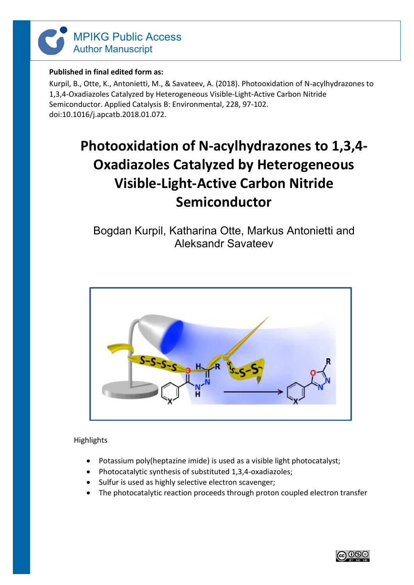

#### **Published in final edited form as:**

Kurpil, B., Otte, K., Antonietti, M., & Savateev, A. (2018). Photooxidation of N-acylhydrazones to 1,3,4-Oxadiazoles Catalyzed by Heterogeneous Visible-Light-Active Carbon Nitride Semiconductor. Applied Catalysis B: Environmental, 228, 97-102. doi:10.1016/j.apcatb.2018.01.072.

# **Photooxidation of N-acylhydrazones to 1,3,4- Oxadiazoles Catalyzed by Heterogeneous Visible-Light-Active Carbon Nitride Semiconductor**

Bogdan Kurpil, Katharina Otte, Markus Antonietti and Aleksandr Savateev



**Highlights** 

- Potassium poly(heptazine imide) is used as a visible light photocatalyst;
- Photocatalytic synthesis of substituted 1,3,4-oxadiazoles;
- Sulfur is used as highly selective electron scavenger;
- The photocatalytic reaction proceeds through proton coupled electron transfer

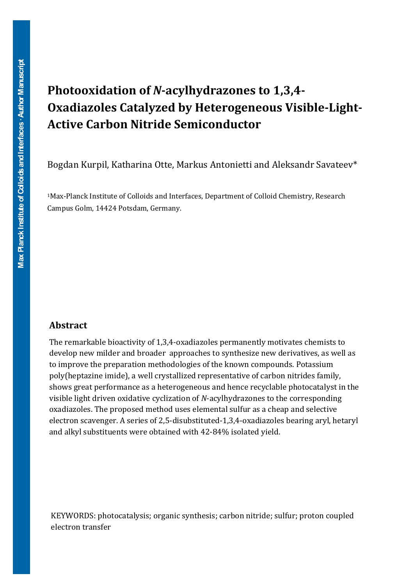## **Photooxidation of** *N***-acylhydrazones to 1,3,4- Oxadiazoles Catalyzed by Heterogeneous Visible-Light-Active Carbon Nitride Semiconductor**

Bogdan Kurpil, Katharina Otte, Markus Antonietti and Aleksandr Savateev\*

<sup>1</sup>Max-Planck Institute of Colloids and Interfaces, Department of Colloid Chemistry, Research Campus Golm, 14424 Potsdam, Germany.

#### **Abstract**

The remarkable bioactivity of 1,3,4-oxadiazoles permanently motivates chemists to develop new milder and broader approaches to synthesize new derivatives, as well as to improve the preparation methodologies of the known compounds. Potassium poly(heptazine imide), a well crystallized representative of carbon nitrides family, shows great performance as a heterogeneous and hence recyclable photocatalyst in the visible light driven oxidative cyclization of *N*-acylhydrazones to the corresponding oxadiazoles. The proposed method uses elemental sulfur as a cheap and selective electron scavenger. A series of 2,5-disubstituted-1,3,4-oxadiazoles bearing aryl, hetaryl and alkyl substituents were obtained with 42-84% isolated yield.

KEYWORDS: photocatalysis; organic synthesis; carbon nitride; sulfur; proton coupled electron transfer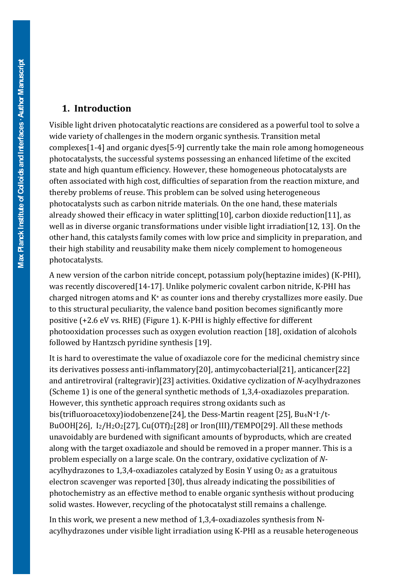#### **1. Introduction**

Visible light driven photocatalytic reactions are considered as a powerful tool to solve a wide variety of challenges in the modern organic synthesis. Transition metal complexes[1-4] and organic dyes[5-9] currently take the main role among homogeneous photocatalysts, the successful systems possessing an enhanced lifetime of the excited state and high quantum efficiency. However, these homogeneous photocatalysts are often associated with high cost, difficulties of separation from the reaction mixture, and thereby problems of reuse. This problem can be solved using heterogeneous photocatalysts such as carbon nitride materials. On the one hand, these materials already showed their efficacy in water splitting[10], carbon dioxide reduction[11], as well as in diverse organic transformations under visible light irradiation[12, 13]. On the other hand, this catalysts family comes with low price and simplicity in preparation, and their high stability and reusability make them nicely complement to homogeneous photocatalysts.

A new version of the carbon nitride concept, potassium poly(heptazine imides) (K-PHI), was recently discovered[14-17]. Unlike polymeric covalent carbon nitride, K-PHI has charged nitrogen atoms and K+ as counter ions and thereby crystallizes more easily. Due to this structural peculiarity, the valence band position becomes significantly more positive (+2.6 eV vs. RHE) (Figure 1). K-PHI is highly effective for different photooxidation processes such as oxygen evolution reaction [18], oxidation of alcohols followed by Hantzsch pyridine synthesis [19].

It is hard to overestimate the value of oxadiazole core for the medicinal chemistry since its derivatives possess anti-inflammatory[20], antimycobacterial[21], anticancer[22] and antiretroviral (raltegravir)[23] activities. Oxidative cyclization of *N*-acylhydrazones (Scheme 1) is one of the general synthetic methods of 1,3,4-oxadiazoles preparation. However, this synthetic approach requires strong oxidants such as bis(trifluoroacetoxy)iodobenzene[24], the Dess-Martin reagent [25], Bu4N+I-/t-BuOOH[26], I2/H2O2[27], Cu(OTf)2[28] or Iron(III)/TEMPO[29]. All these methods unavoidably are burdened with significant amounts of byproducts, which are created along with the target oxadiazole and should be removed in a proper manner. This is a problem especially on a large scale. On the contrary, oxidative cyclization of *N*acylhydrazones to 1,3,4-oxadiazoles catalyzed by Eosin Y using  $O<sub>2</sub>$  as a gratuitous electron scavenger was reported [30], thus already indicating the possibilities of photochemistry as an effective method to enable organic synthesis without producing solid wastes. However, recycling of the photocatalyst still remains a challenge.

In this work, we present a new method of 1,3,4-oxadiazoles synthesis from Nacylhydrazones under visible light irradiation using K-PHI as a reusable heterogeneous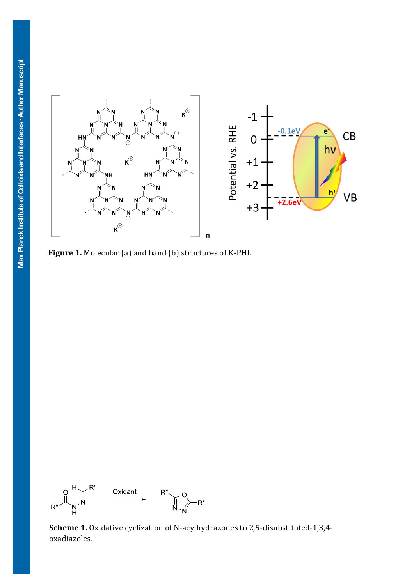

**Figure 1.** Molecular (a) and band (b) structures of K-PHI.



**Scheme 1.** Oxidative cyclization of N-acylhydrazones to 2,5-disubstituted-1,3,4 oxadiazoles.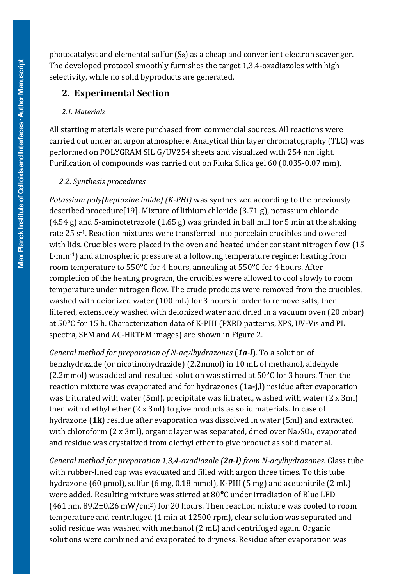selectivity, while no solid byproducts are generated. photocatalyst and elemental sulfur  $(S_8)$  as a cheap and convenient electron scavenger. The developed protocol smoothly furnishes the target 1,3,4-oxadiazoles with high

## **2. Experimental Section**

#### *2.1. Materials*

All starting materials were purchased from commercial sources. All reactions were carried out under an argon atmosphere. Analytical thin layer chromatography (TLC) was performed on POLYGRAM SIL G/UV254 sheets and visualized with 254 nm light. Purification of compounds was carried out on Fluka Silica gel 60 (0.035-0.07 mm).

#### *2.2. Synthesis procedures*

*Potassium poly(heptazine imide) (K-PHI)* was synthesized according to the previously described procedure[19]. Mixture of lithium chloride (3.71 g), potassium chloride (4.54 g) and 5-aminotetrazole (1.65 g) was grinded in ball mill for 5 min at the shaking rate 25 s-1. Reaction mixtures were transferred into porcelain crucibles and covered with lids. Crucibles were placed in the oven and heated under constant nitrogen flow (15 L·min-1) and atmospheric pressure at a following temperature regime: heating from room temperature to 550°C for 4 hours, annealing at 550°C for 4 hours. After completion of the heating program, the crucibles were allowed to cool slowly to room temperature under nitrogen flow. The crude products were removed from the crucibles, washed with deionized water (100 mL) for 3 hours in order to remove salts, then filtered, extensively washed with deionized water and dried in a vacuum oven (20 mbar) at 50°C for 15 h. Characterization data of K-PHI (PXRD patterns, XPS, UV-Vis and PL spectra, SEM and AC-HRTEM images) are shown in Figure 2.

*General method for preparation of N-acylhydrazones* (*1a-l*). To a solution of benzhydrazide (or nicotinohydrazide) (2.2mmol) in 10 mL of methanol, aldehyde (2.2mmol) was added and resulted solution was stirred at  $50^{\circ}$ C for 3 hours. Then the reaction mixture was evaporated and for hydrazones (**1a-j,l**) residue after evaporation was triturated with water (5ml), precipitate was filtrated, washed with water (2 x 3ml) then with diethyl ether (2 x 3ml) to give products as solid materials. In case of hydrazone (**1k**) residue after evaporation was dissolved in water (5ml) and extracted with chloroform (2 x 3ml), organic layer was separated, dried over Na<sub>2</sub>SO<sub>4</sub>, evaporated and residue was crystalized from diethyl ether to give product as solid material.

*General method for preparation 1,3,4-oxadiazole (2a-l) from N-acylhydrazones*. Glass tube with rubber-lined cap was evacuated and filled with argon three times. To this tube hydrazone (60 µmol), sulfur (6 mg, 0.18 mmol), K-PHI (5 mg) and acetonitrile (2 mL) were added. Resulting mixture was stirred at 80<sup>o</sup>C under irradiation of Blue LED (461 nm,  $89.2\pm0.26$  mW/cm<sup>2</sup>) for 20 hours. Then reaction mixture was cooled to room temperature and centrifuged (1 min at 12500 rpm), clear solution was separated and solid residue was washed with methanol (2 mL) and centrifuged again. Organic solutions were combined and evaporated to dryness. Residue after evaporation was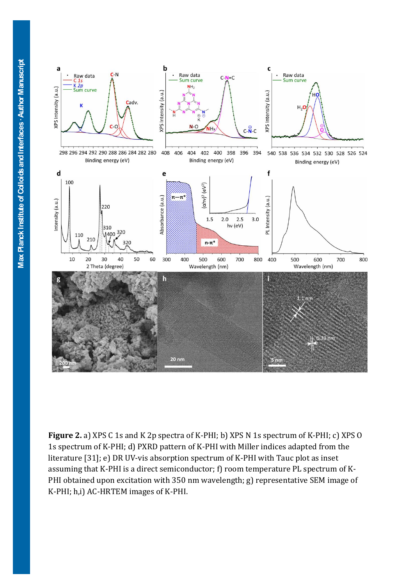

**Figure 2.** a) XPS C 1s and K 2p spectra of K-PHI; b) XPS N 1s spectrum of K-PHI; c) XPS O 1s spectrum of K-PHI; d) PXRD pattern of K-PHI with Miller indices adapted from the literature [31]; e) DR UV-vis absorption spectrum of K-PHI with Tauc plot as inset assuming that K-PHI is a direct semiconductor; f) room temperature PL spectrum of K-PHI obtained upon excitation with 350 nm wavelength; g) representative SEM image of K-PHI; h,i) AC-HRTEM images of K-PHI.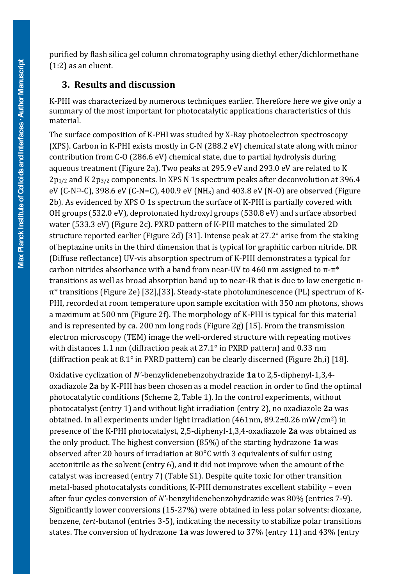## **3. Results and discussion**

K-PHI was characterized by numerous techniques earlier. Therefore here we give only a summary of the most important for photocatalytic applications characteristics of this material.

The surface composition of K-PHI was studied by X-Ray photoelectron spectroscopy (XPS). Carbon in K-PHI exists mostly in C-N (288.2 eV) chemical state along with minor contribution from C-O (286.6 eV) chemical state, due to partial hydrolysis during aqueous treatment (Figure 2a). Two peaks at 295.9 eV and 293.0 eV are related to K 2p1/2 and K 2p3/2 components. In XPS N 1s spectrum peaks after deconvolution at 396.4 eV (C-N $\ominus$ -C), 398.6 eV (C-N=C), 400.9 eV (NH<sub>x</sub>) and 403.8 eV (N-O) are observed (Figure 2b). As evidenced by XPS O 1s spectrum the surface of K-PHI is partially covered with OH groups (532.0 eV), deprotonated hydroxyl groups (530.8 eV) and surface absorbed water (533.3 eV) (Figure 2c). PXRD pattern of K-PHI matches to the simulated 2D structure reported earlier (Figure 2d) [31]. Intense peak at 27.2° arise from the staking of heptazine units in the third dimension that is typical for graphitic carbon nitride. DR (Diffuse reflectance) UV-vis absorption spectrum of K-PHI demonstrates a typical for carbon nitrides absorbance with a band from near-UV to 460 nm assigned to  $π$ - $π$ <sup>\*</sup> transitions as well as broad absorption band up to near-IR that is due to low energetic nπ\* transitions (Figure 2e) [32],[33]. Steady-state photoluminescence (PL) spectrum of K-PHI, recorded at room temperature upon sample excitation with 350 nm photons, shows a maximum at 500 nm (Figure 2f). The morphology of K-PHI is typical for this material and is represented by ca. 200 nm long rods (Figure 2g) [15]. From the transmission electron microscopy (TEM) image the well-ordered structure with repeating motives with distances 1.1 nm (diffraction peak at 27.1° in PXRD pattern) and 0.33 nm (diffraction peak at 8.1° in PXRD pattern) can be clearly discerned (Figure 2h,i) [18].

Oxidative cyclization of *N'*-benzylidenebenzohydrazide **1a** to 2,5-diphenyl-1,3,4 oxadiazole **2a** by K-PHI has been chosen as a model reaction in order to find the optimal photocatalytic conditions (Scheme 2, Table 1). In the control experiments, without photocatalyst (entry 1) and without light irradiation (entry 2), no oxadiazole **2a** was obtained. In all experiments under light irradiation (461nm, 89.2±0.26 mW/cm2) in presence of the K-PHI photocatalyst, 2,5-diphenyl-1,3,4-oxadiazole **2a** was obtained as the only product. The highest conversion (85%) of the starting hydrazone **1a** was observed after 20 hours of irradiation at 80°C with 3 equivalents of sulfur using acetonitrile as the solvent (entry 6), and it did not improve when the amount of the catalyst was increased (entry 7) (Table S1). Despite quite toxic for other transition metal-based photocatalysts conditions, K-PHI demonstrates excellent stability – even after four cycles conversion of *N'*-benzylidenebenzohydrazide was 80% (entries 7-9). Significantly lower conversions (15-27%) were obtained in less polar solvents: dioxane, benzene, *tert*-butanol (entries 3-5), indicating the necessity to stabilize polar transitions states. The conversion of hydrazone **1a** was lowered to 37% (entry 11) and 43% (entry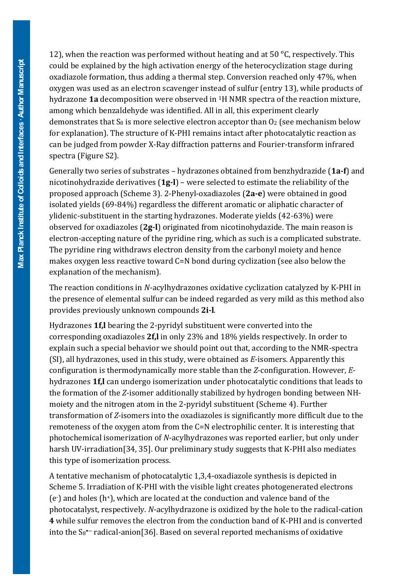oxygen was used as an electron scavenger instead of sulfur (entry 13), while products of 12), when the reaction was performed without heating and at 50  $\degree$ C, respectively. This could be explained by the high activation energy of the heterocyclization stage during oxadiazole formation, thus adding a thermal step. Conversion reached only 47%, when hydrazone **1a** decomposition were observed in <sup>1</sup>H NMR spectra of the reaction mixture, among which benzaldehyde was identified. All in all, this experiment clearly demonstrates that  $S_8$  is more selective electron acceptor than  $O_2$  (see mechanism below for explanation). The structure of K-PHI remains intact after photocatalytic reaction as can be judged from powder X-Ray diffraction patterns and Fourier-transform infrared spectra (Figure S2).

Generally two series of substrates – hydrazones obtained from benzhydrazide (**1a-f**) and nicotinohydrazide derivatives (**1g-l**) – were selected to estimate the reliability of the proposed approach (Scheme 3). 2-Phenyl-oxadiazoles (**2a-e**) were obtained in good isolated yields (69-84%) regardless the different aromatic or aliphatic character of ylidenic-substituent in the starting hydrazones. Moderate yields (42-63%) were observed for oxadiazoles (**2g-l**) originated from nicotinohydazide. The main reason is electron-accepting nature of the pyridine ring, which as such is a complicated substrate. The pyridine ring withdraws electron density from the carbonyl moiety and hence makes oxygen less reactive toward C=N bond during cyclization (see also below the explanation of the mechanism).

The reaction conditions in *N*-acylhydrazones oxidative cyclization catalyzed by K-PHI in the presence of elemental sulfur can be indeed regarded as very mild as this method also provides previously unknown compounds **2i-l***.*

Hydrazones **1f,l** bearing the 2-pyridyl substituent were converted into the corresponding oxadiazoles **2f,l** in only 23% and 18% yields respectively. In order to explain such a special behavior we should point out that, according to the NMR-spectra (SI), all hydrazones, used in this study, were obtained as *E*-isomers. Apparently this configuration is thermodynamically more stable than the *Z*-configuration. However, *E*hydrazones **1f,l** can undergo isomerization under photocatalytic conditions that leads to the formation of the *Z*-isomer additionally stabilized by hydrogen bonding between NHmoiety and the nitrogen atom in the 2-pyridyl substituent (Scheme 4). Further transformation of *Z*-isomers into the oxadiazoles is significantly more difficult due to the remoteness of the oxygen atom from the C=N electrophilic center. It is interesting that photochemical isomerization of *N*-acylhydrazones was reported earlier, but only under harsh UV-irradiation[34, 35]. Our preliminary study suggests that K-PHI also mediates this type of isomerization process.

A tentative mechanism of photocatalytic 1,3,4-oxadiazole synthesis is depicted in Scheme 5. Irradiation of K-PHI with the visible light creates photogenerated electrons (e-) and holes (h+), which are located at the conduction and valence band of the photocatalyst, respectively. *N*-acylhydrazone is oxidized by the hole to the radical-cation **4** while sulfur removes the electron from the conduction band of K-PHI and is converted into the S<sup>8</sup> •― radical-anion[36]. Based on several reported mechanisms of oxidative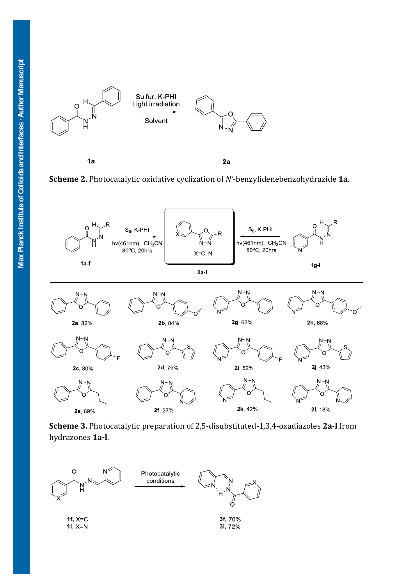



 $2a$ 





**Scheme 3.** Photocatalytic preparation of 2,5-disubstituted-1,3,4-oxadiazoles **2a-l** from hydrazones **1a-l**.

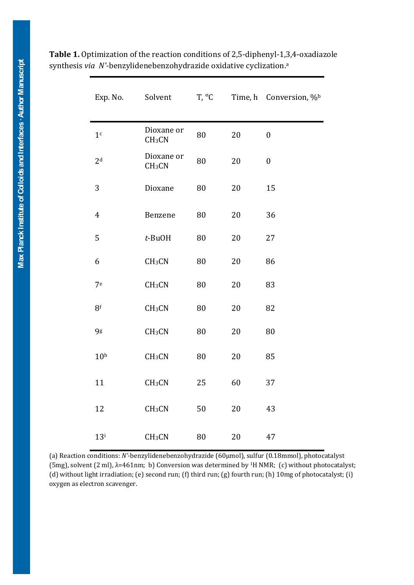| Exp. No.        | Solvent                          | T, °C |    | Time, h Conversion, % <sup>b</sup> |
|-----------------|----------------------------------|-------|----|------------------------------------|
| 1 <sup>c</sup>  | Dioxane or<br>CH <sub>3</sub> CN | 80    | 20 | $\boldsymbol{0}$                   |
| 2 <sup>d</sup>  | Dioxane or<br>CH <sub>3</sub> CN | 80    | 20 | $\boldsymbol{0}$                   |
| 3               | Dioxane                          | 80    | 20 | 15                                 |
| $\overline{4}$  | Benzene                          | 80    | 20 | 36                                 |
| 5               | $t$ -BuOH                        | 80    | 20 | 27                                 |
| 6               | CH <sub>3</sub> CN               | 80    | 20 | 86                                 |
| 7 <sup>e</sup>  | CH <sub>3</sub> CN               | 80    | 20 | 83                                 |
| 8 <sup>f</sup>  | CH <sub>3</sub> CN               | 80    | 20 | 82                                 |
| 9g              | CH <sub>3</sub> CN               | 80    | 20 | 80                                 |
| 10 <sup>h</sup> | CH <sub>3</sub> CN               | 80    | 20 | 85                                 |
| 11              | CH <sub>3</sub> CN               | 25    | 60 | 37                                 |
| 12              | CH <sub>3</sub> CN               | 50    | 20 | 43                                 |
| $13^i$          | CH <sub>3</sub> CN               | 80    | 20 | 47                                 |

**Table 1.** Optimization of the reaction conditions of 2,5-diphenyl-1,3,4-oxadiazole synthesis *via N'*-benzylidenebenzohydrazide oxidative cyclization. a

(a) Reaction conditions: *N'*-benzylidenebenzohydrazide (60µmol), sulfur (0.18mmol), photocatalyst (5mg), solvent (2 ml), λ=461nm; b) Conversion was determined by 1H NMR; (c) without photocatalyst; (d) without light irradiation; (e) second run; (f) third run; (g) fourth run; (h) 10mg of photocatalyst; (i) oxygen as electron scavenger.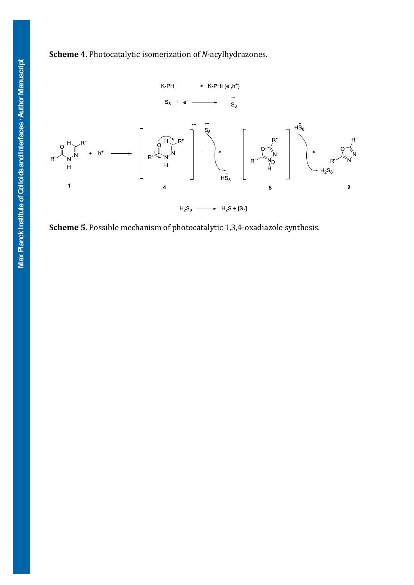



**Scheme 5.** Possible mechanism of photocatalytic 1,3,4-oxadiazole synthesis.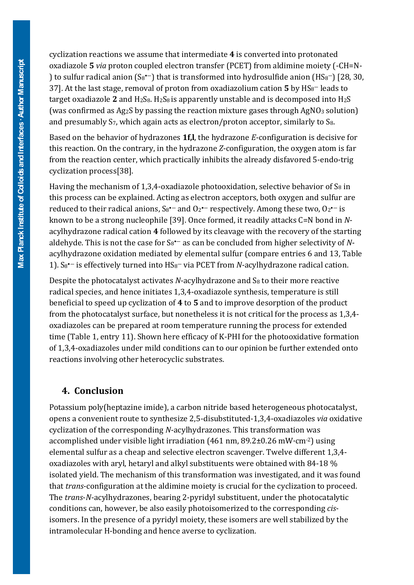37]. At the last stage, removal of proton from oxadiazolium cation **5** by HS<sup>8</sup> ― leads to cyclization reactions we assume that intermediate **4** is converted into protonated oxadiazole **5** *via* proton coupled electron transfer (PCET) from aldimine moiety (-CH=N- ) to sulfur radical anion (S<sub>8</sub> $\text{-}$ ) that is transformed into hydrosulfide anion (HS<sub>8</sub> $\text{-}$ ) [28, 30, target oxadiazole  $2$  and  $H_2S_8$ .  $H_2S_8$  is apparently unstable and is decomposed into  $H_2S$ (was confirmed as  $Ag_2S$  by passing the reaction mixture gases through  $AgNO_3$  solution) and presumably  $S_7$ , which again acts as electron/proton acceptor, similarly to  $S_8$ .

Based on the behavior of hydrazones **1f,l**, the hydrazone *E*-configuration is decisive for this reaction. On the contrary, in the hydrazone *Z*-configuration, the oxygen atom is far from the reaction center, which practically inhibits the already disfavored 5-endo-trig cyclization process[38].

Having the mechanism of 1,3,4-oxadiazole photooxidation, selective behavior of  $S_8$  in this process can be explained. Acting as electron acceptors, both oxygen and sulfur are reduced to their radical anions,  $S_8$ <sup>+-</sup> and  $O_2$ <sup>+-</sup> respectively. Among these two,  $O_2$ <sup>+-</sup> is known to be a strong nucleophile [39]. Once formed, it readily attacks C=N bond in *N*acylhydrazone radical cation **4** followed by its cleavage with the recovery of the starting aldehyde. This is not the case for S<sub>8</sub><sup>+-</sup> as can be concluded from higher selectivity of Nacylhydrazone oxidation mediated by elemental sulfur (compare entries 6 and 13, Table 1).  $S_8$ <sup> $-$ </sup> is effectively turned into  $HS_8$ <sup> $-$ </sup> via PCET from *N*-acylhydrazone radical cation.

Despite the photocatalyst activates *N*-acylhydrazone and S8 to their more reactive radical species, and hence initiates 1,3,4-oxadiazole synthesis, temperature is still beneficial to speed up cyclization of **4** to **5** and to improve desorption of the product from the photocatalyst surface, but nonetheless it is not critical for the process as 1,3,4 oxadiazoles can be prepared at room temperature running the process for extended time (Table 1, entry 11). Shown here efficacy of K-PHI for the photooxidative formation of 1,3,4-oxadiazoles under mild conditions can to our opinion be further extended onto reactions involving other heterocyclic substrates.

#### **4. Conclusion**

Potassium poly(heptazine imide), a carbon nitride based heterogeneous photocatalyst, opens a convenient route to synthesize 2,5-disubstituted-1,3,4-oxadiazoles *via* oxidative cyclization of the corresponding *N*-acylhydrazones. This transformation was accomplished under visible light irradiation (461 nm, 89.2±0.26 mW·cm-2) using elemental sulfur as a cheap and selective electron scavenger. Twelve different 1,3,4 oxadiazoles with aryl, hetaryl and alkyl substituents were obtained with 84-18 % isolated yield. The mechanism of this transformation was investigated, and it was found that *trans*-configuration at the aldimine moiety is crucial for the cyclization to proceed. The *trans*-*N*-acylhydrazones, bearing 2-pyridyl substituent, under the photocatalytic conditions can, however, be also easily photoisomerized to the corresponding *cis*isomers. In the presence of a pyridyl moiety, these isomers are well stabilized by the intramolecular H-bonding and hence averse to cyclization.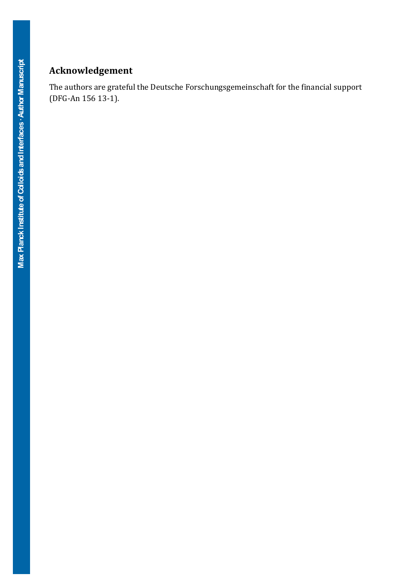## **Acknowledgement**

 The authors are grateful the Deutsche Forschungsgemeinschaft for the financial support (DFG-An 156 13-1).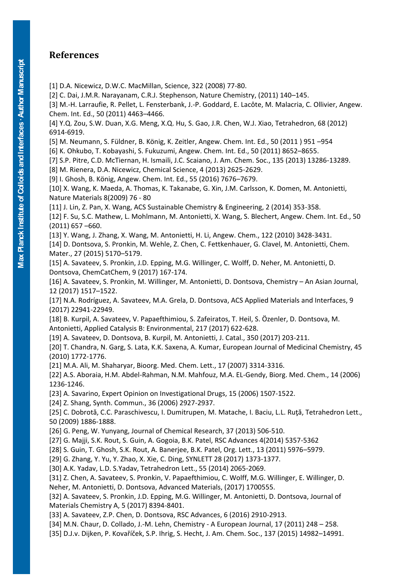## **References**

 [1] D.A. Nicewicz, D.W.C. MacMillan, Science, 322 (2008) 77-80. [2] C. Dai, J.M.R. Narayanam, C.R.J. Stephenson, Nature Chemistry, (2011) 140–145. [3] M.-H. Larraufie, R. Pellet, L. Fensterbank, J.-P. Goddard, E. Lacôte, M. Malacria, C. Ollivier, Angew. Chem. Int. Ed., 50 (2011) 4463–4466. [4] Y.Q. Zou, S.W. Duan, X.G. Meng, X.Q. Hu, S. Gao, J.R. Chen, W.J. Xiao, Tetrahedron, 68 (2012) 6914-6919. [5] M. Neumann, S. Füldner, B. König, K. Zeitler, Angew. Chem. Int. Ed., 50 (2011 ) 951 –954 [6] K. Ohkubo, T. Kobayashi, S. Fukuzumi, Angew. Chem. Int. Ed., 50 (2011) 8652–8655. [7] S.P. Pitre, C.D. McTiernan, H. Ismaili, J.C. Scaiano, J. Am. Chem. Soc., 135 (2013) 13286-13289. [8] M. Rienera, D.A. Nicewicz, Chemical Science, 4 (2013) 2625-2629. [9] I. Ghosh, B. König, Angew. Chem. Int. Ed., 55 (2016) 7676–7679. [10] X. Wang, K. Maeda, A. Thomas, K. Takanabe, G. Xin, J.M. Carlsson, K. Domen, M. Antonietti, Nature Materials 8(2009) 76 - 80 [11] J. Lin, Z. Pan, X. Wang, ACS Sustainable Chemistry & Engineering, 2 (2014) 353-358. [12] F. Su, S.C. Mathew, L. Mohlmann, M. Antonietti, X. Wang, S. Blechert, Angew. Chem. Int. Ed., 50 (2011) 657 –660. [13] Y. Wang, J. Zhang, X. Wang, M. Antonietti, H. Li, Angew. Chem., 122 (2010) 3428-3431. [14] D. Dontsova, S. Pronkin, M. Wehle, Z. Chen, C. Fettkenhauer, G. Clavel, M. Antonietti, Chem. Mater., 27 (2015) 5170–5179. [15] A. Savateev, S. Pronkin, J.D. Epping, M.G. Willinger, C. Wolff, D. Neher, M. Antonietti, D. Dontsova, ChemCatChem, 9 (2017) 167-174. [16] A. Savateev, S. Pronkin, M. Willinger, M. Antonietti, D. Dontsova, Chemistry – An Asian Journal, 12 (2017) 1517–1522. [17] N.A. Rodríguez, A. Savateev, M.A. Grela, D. Dontsova, ACS Applied Materials and Interfaces, 9 (2017) 22941-22949. [18] B. Kurpil, A. Savateev, V. Papaefthimiou, S. Zafeiratos, T. Heil, S. Özenler, D. Dontsova, M. Antonietti, Applied Catalysis B: Environmental, 217 (2017) 622-628. [19] A. Savateev, D. Dontsova, B. Kurpil, M. Antonietti, J. Catal., 350 (2017) 203-211. [20] T. Chandra, N. Garg, S. Lata, K.K. Saxena, A. Kumar, European Journal of Medicinal Chemistry, 45 (2010) 1772-1776. [21] M.A. Ali, M. Shaharyar, Bioorg. Med. Chem. Lett., 17 (2007) 3314-3316. [22] A.S. Aboraia, H.M. Abdel-Rahman, N.M. Mahfouz, M.A. EL-Gendy, Biorg. Med. Chem., 14 (2006) 1236-1246. [23] A. Savarino, Expert Opinion on Investigational Drugs, 15 (2006) 1507-1522. [24] Z. Shang, Synth. Commun., 36 (2006) 2927-2937. [25] C. Dobrotă, C.C. Paraschivescu, I. Dumitrupen, M. Matache, I. Baciu, L.L. Ruţă, Tetrahedron Lett., 50 (2009) 1886-1888. [26] G. Peng, W. Yunyang, Journal of Chemical Research, 37 (2013) 506-510. [27] G. Majji, S.K. Rout, S. Guin, A. Gogoia, B.K. Patel, RSC Advances 4(2014) 5357-5362 [28] S. Guin, T. Ghosh, S.K. Rout, A. Banerjee, B.K. Patel, Org. Lett., 13 (2011) 5976–5979. [29] G. Zhang, Y. Yu, Y. Zhao, X. Xie, C. Ding, SYNLETT 28 (2017) 1373-1377. [30] A.K. Yadav, L.D. S.Yadav, Tetrahedron Lett., 55 (2014) 2065-2069. [31] Z. Chen, A. Savateev, S. Pronkin, V. Papaefthimiou, C. Wolff, M.G. Willinger, E. Willinger, D. Neher, M. Antonietti, D. Dontsova, Advanced Materials, (2017) 1700555. [32] A. Savateev, S. Pronkin, J.D. Epping, M.G. Willinger, M. Antonietti, D. Dontsova, Journal of Materials Chemistry A, 5 (2017) 8394-8401. [33] A. Savateev, Z.P. Chen, D. Dontsova, RSC Advances, 6 (2016) 2910-2913. [34] M.N. Chaur, D. Collado, J.-M. Lehn, Chemistry - A European Journal, 17 (2011) 248 – 258. [35] D.J.v. Dijken, P. Kovaříček, S.P. Ihrig, S. Hecht, J. Am. Chem. Soc., 137 (2015) 14982–14991.